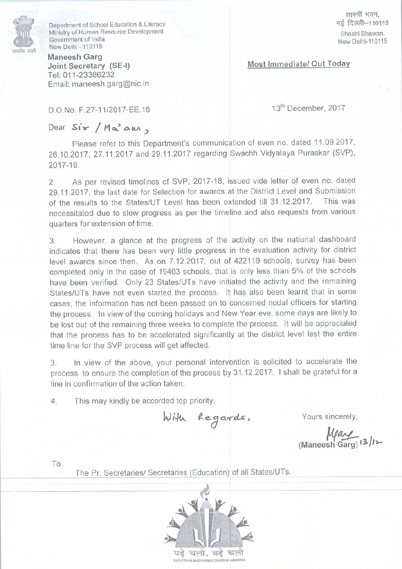

Department of School Education & Literacy Ministry of Human Resource Development Government of India New Delhi-110115

Maneesh Garg Joint Secretary (SE-I) Tel: 011-23386232 Email: maneesh.garg@nic.in

शास्त्री भवन, नई दिल्ली-110115 Shastri Bhawan, New Delhi-110115

## Most Immediate/ Out Today

D.O.No. F.27-11/2017-EE.16

13<sup>th</sup> December, 2017

## Dear Sir / Ma<sup>3</sup> am,

Please refer to this Department's communication of even no. dated 11.09.2017, 26.10.2017, 27.11.2017 and 29.11.2017 regarding Swachh Vidyalaya Puraskar (SVP)<br>2017-18.<br>2. As per revised timelines of SVP, 2017-18, issued vide letter of even no. dated 2017

2 A s per revised timeline s of SVP, 2017-18, issued vide letter of even no. dated tment of School Education & Lite<br>y of Human Resource Developm<br>nment of India<br>belhi - 110115<br>**esh Garg**<br>: **Secretary** (**SE-I**)<br>11-23386232<br>I: maneesh.garg@nic.in<br>No. F.27-11/2017-EE.16<br> $\begin{array}{r} \n\mathbf{S} \cdot \mathbf{r} \quad / \mathbf{M} \cdot \math$ racy<br>
ent<br>
partment's communic:<br>
29.11.2017 regarding<br>
is of SVP, 2017-18, i<br>
Selection for awards a<br>
JT Level has been express as per the time<br>
the progress of the 29.11.2017, the last date for Selection for awards at the District Level and Submission of the results to the States/UT Level has been extended till 31.12.2017. This was necessitated due to slow progress as per the timeline and also requests from various quarters for extension of time.

3. However, a glance at the progress of the activity on the national dashboard indicates that there has been very little progress in the evaluation activity for district level awards since then. As on 7.12.2017, out of 422119 schools, survey has been completed only in the case of 19403 schools, that is only lessthan 5% of the schools have been verified. Only 23 States/UTs have initiated the activity and the remaining States/UTs have not even started the process. It has also been learnt that in some cases, the information has not been passed on to concerned nodal officers for starting the process. In view of the coming holidays and New Year eve, some days are likely to be lost out of the remaining three weeks to complete the process. It will be appreciated that the process has to be accelerated significantly at the district level lest the entire time line for the SVP process will get affected.

3. In view of the above, your personal intervention is solicited to accelerate the process to ensure the completion of the process by 31.12.2017. Ishall be grateful fora line in confirmation of the action taken.

4. This may kindly be accorded top priority.

With Regards,

Yours sincerely,

 $M$ ay<br>(Maneesh Garg)  $|3|$ 

To

The Pr. Secretaries/ Secretaries(Education) of all States/UTs.